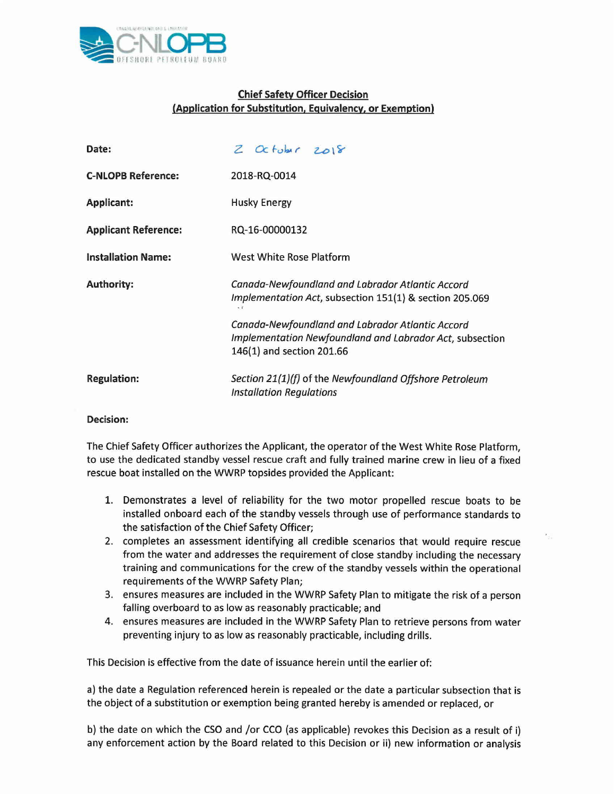

## **Chief Safety Officer Decision (Application for Substitution, Equivalency, or Exemption)**

| Date:                       | $Z$ October $2018$                                                                                                                        |
|-----------------------------|-------------------------------------------------------------------------------------------------------------------------------------------|
| <b>C-NLOPB Reference:</b>   | 2018-RQ-0014                                                                                                                              |
| <b>Applicant:</b>           | <b>Husky Energy</b>                                                                                                                       |
| <b>Applicant Reference:</b> | RQ-16-00000132                                                                                                                            |
| <b>Installation Name:</b>   | West White Rose Platform                                                                                                                  |
| <b>Authority:</b>           | Canada-Newfoundland and Labrador Atlantic Accord<br>Implementation Act, subsection 151(1) & section 205.069                               |
|                             | Canada-Newfoundland and Labrador Atlantic Accord<br>Implementation Newfoundland and Labrador Act, subsectior<br>146(1) and section 201.66 |
| <b>Regulation:</b>          | Section 21(1)(f) of the Newfoundland Offshore Petroleum<br><b>Installation Regulations</b>                                                |

## **Decision:**

The Chief Safety Officer authorizes the Applicant, the operator of the West White Rose Platform, to use the dedicated standby vessel rescue craft and fully trained marine crew in lieu of a fixed rescue boat installed on the WWRP topsides provided the Applicant:

- 1. Demonstrates a level of reliability for the two motor propelled rescue boats to be installed onboard each of the standby vessels through use of performance standards to the satisfaction of the Chief Safety Officer;
- 2. completes an assessment identifying all credible scenarios that would require rescue from the water and addresses the requirement of close standby including the necessary training and communications for the crew of the standby vessels within the operational requirements of the WWRP Safety Plan;
- 3. ensures measures are included in the WWRP Safety Plan to mitigate the risk of a person falling overboard to as low as reasonably practicable; and
- 4. ensures measures are included in the WWRP Safety Plan to retrieve persons from water preventing injury to as low as reasonably practicable, including drills.

This Decision is effective from the date of issuance herein until the earlier of:

a) the date a Regulation referenced herein is repealed or the date a particular subsection that is the object of a substitution or exemption being granted hereby is amended or replaced, or

b) the date on which the CSO and *lor* CCO (as applicable) revokes this Decision as a result of i) any enforcement action by the Board related to this Decision or ii) new information or analysis